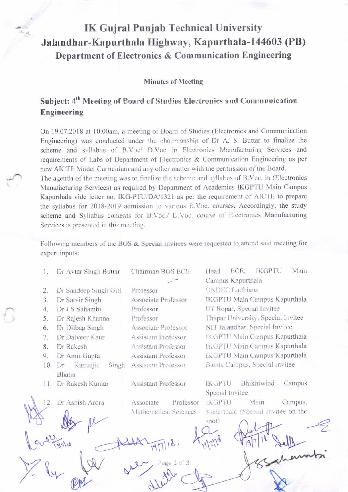## **IK Gujral Punjab Technical University** Jalandhar-Kapurthala Highway, Kapurthala-144603 (PB) Department of Electronics & Communication Engineering

**Minutes of Meeting** 

## Subject: 4<sup>th</sup> Meeting of Board of Studies Electronics and Communication Engineering

On 19.07.2018 at 10:00am, a meeting of Board of Studies (Electronics and Communication Engineering) was conducted under the chairmanship of Dr A. S. Buttar to finalize the scheme and syllabus of B.Voc/ D.Voc in Electronics Manufacturing Services and requirements of Labs of Department of Electronics & Communication Engineering as per new AICTE Model Curriculum and any other matter with the permission of the Board. The agenda of the meeting was to finalize the scheme and syllabus of B.Voc. in (Electronics Manufacturing Services) as required by Department of Academics IKGPTU Main Campus Kapurthala vide letter no. IKG-PTU/DA/1321 as per the requirement of AICTE to prepare the syllabus for 2018-2019 admission to various B.Voc. courses. Accordingly, the study scheme and Syllabus contents for B.Voc./ D.Voc. course of Electronics Manufacturing Services is presented in this meeting.

Following members of the BOS & Special Invitees were requested to attend said meeting for expert inputs:

| 1.  | Dr Avtar Singh Buttar                    | Chairman BOS ECE           | Main<br>ECE,<br><b>IKGPTU</b><br>Head<br>Campus Kapurthala |  |  |
|-----|------------------------------------------|----------------------------|------------------------------------------------------------|--|--|
| 2.  | Dr Sandeep Singh Gill                    | Professor                  | <b>GNDEC</b> Ludhiana                                      |  |  |
| 3.  | Dr Satvir Singh                          | Associate Professor        | IKGPTU Main Campus Kapurthala                              |  |  |
| 4.  | Dr J S Sahambi                           | Professor                  | IIT Ropar, Special Invitee                                 |  |  |
| 5.  | Dr Rajesh Khanna                         | Professor                  | Thapar University, Special Invitee                         |  |  |
| 6.  | Dr Dilbag Singh                          | Associate Professor        | NIT Jalandhar, Special Invitee                             |  |  |
| 7.  | Dr Dalveer Kaur                          | Assistant Professor        | IKGPTU Main Campus Kapurthala                              |  |  |
| 8.  | Dr Rakesh                                | Assistant Professor        | IKGPTU Main Campus Kapurthala                              |  |  |
| 9.  | Dr Amit Gupta                            | <b>Assistant Professor</b> | IKGPTU Main Campus Kapurthala                              |  |  |
| 10. | Kamaljit<br>Singh<br>Dr<br><b>Bhatia</b> | Assistant Professor        | Batala Campus, Special Invitee                             |  |  |
|     | 11. Dr Rakesh Kumar                      | <b>Assistant Professor</b> | Bhikhiwind<br>Campus<br><b>IKGPTU</b><br>Special Invitee   |  |  |
| 12. | Dr Ashish Arora                          | Professor<br>Associate     | <b>IKGPTU</b><br>Main<br>Campus,                           |  |  |
|     |                                          | Mathematical Sciences      | Kapurthala (Special Invitee on the                         |  |  |
|     |                                          |                            | spot)                                                      |  |  |
|     |                                          |                            |                                                            |  |  |
|     |                                          |                            |                                                            |  |  |
|     |                                          |                            |                                                            |  |  |
|     |                                          |                            |                                                            |  |  |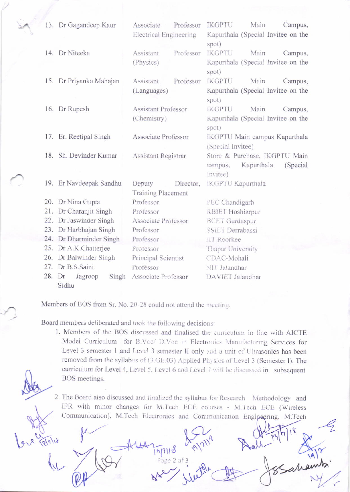|        | 13. Dr Gagandeep Kaur   | Associate                  | Professor | <b>IKGPTU</b>                                      | Main<br>Campus,                    |  |
|--------|-------------------------|----------------------------|-----------|----------------------------------------------------|------------------------------------|--|
|        |                         | Electrical Engineering     |           | Kapurthala (Special Invitee on the                 |                                    |  |
|        |                         |                            |           | spot)                                              |                                    |  |
|        | 14. Dr Niteeka          | Assistant                  | Professor | IKGPTU                                             | Main<br>Campus,                    |  |
|        |                         | (Physics)                  |           |                                                    | Kapurthala (Special Invitee on the |  |
|        |                         |                            |           | spot)                                              |                                    |  |
|        | 15. Dr Priyanka Mahajan | Assistant                  | Professor | <b>IKGPTU</b>                                      | Main<br>Campus,                    |  |
|        |                         | (Languages)                |           |                                                    | Kapurthala (Special Invitee on the |  |
|        |                         |                            |           | spot)                                              |                                    |  |
|        | 16. Dr Rupesh           | <b>Assistant Professor</b> |           | <b>IKGPTU</b>                                      | Main<br>Campus,                    |  |
|        |                         | (Chemistry)                |           |                                                    | Kapurthala (Special Invitee on the |  |
|        |                         |                            |           | spot)                                              |                                    |  |
|        | 17. Er. Reetipal Singh  | Associate Professor        |           | IKGPTU Main campus Kapurthala<br>(Special Invitee) |                                    |  |
|        | 18. Sh. Devinder Kumar  | Assistant Registrar        |           | Store & Purchase, IKGPTU Main                      |                                    |  |
|        |                         |                            |           | campus,                                            | Kapurthala<br>(Special             |  |
|        |                         |                            |           | Invitee)                                           |                                    |  |
|        | 19. Er Navdeepak Sandhu | Deputy                     | Director, | IKGPTU Kapurthala                                  |                                    |  |
|        |                         | Training Placement         |           |                                                    |                                    |  |
|        | 20. Dr Nina Gupta       | Professor                  |           | PEC Chandigarh                                     |                                    |  |
|        | 21. Dr Charanjit Singh  | Professor                  |           | <b>RBIET</b> Hoshiarpur                            |                                    |  |
|        | 22. Dr Jaswinder Singh  | Associate Professor        |           | <b>BCET</b> Gurdaspur                              |                                    |  |
|        | 23. Dr Harbhajan Singh  | Professor                  |           | <b>SSIET Derrabassi</b>                            |                                    |  |
|        | 24. Dr Dharminder Singh | Professor                  |           | <b>III</b> Roorkee                                 |                                    |  |
|        | 25. Dr A.K.Chatterjee   | Professor                  |           | Thapar University                                  |                                    |  |
|        | 26. Dr Balwinder Singh  | Principal Scientist        |           | CDAC-Mohali                                        |                                    |  |
|        | 27. Dr B.S.Saini        | Professor                  |           | NIT Jalandhar                                      |                                    |  |
| 28. Dr | Singh<br>Jagroop        | Associate Professor        |           | DAVIET Jalandhar                                   |                                    |  |
|        | Sidhu                   |                            |           |                                                    |                                    |  |

Members of BOS from Sr. No. 20-28 could not attend the meeting.

Board members deliberated and took the following decisions:

1. Members of the BOS discussed and finalised the curriculum in line with AICTE Model Curriculum for B.Voc/ D.Voc in Electronics Manufacturing Services for Level 3 semester 1 and Level 3 semester II only and a unit of Ultrasonics has been removed from the syllabus of (3.GE.03) Applied Physics of Level 3 (Semester I). The curriculum for Level 4, Level 5, Level 6 and Level 7 will be discussed in subsequent BOS meetings.

2. The Board also discussed and finalized the syllabus for Research Methodology and IPR with minor changes for M.Tech ECE courses - M.Tech ECE (Wireless Communication), M.Tech Electronics and Communication Engipsering, M.Tech

21118